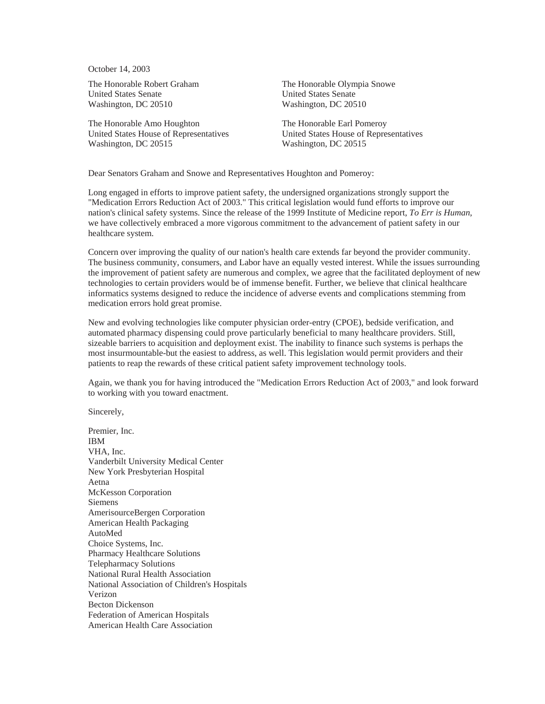October 14, 2003

The Honorable Robert Graham United States Senate Washington, DC 20510

The Honorable Amo Houghton United States House of Representatives Washington, DC 20515

The Honorable Olympia Snowe United States Senate Washington, DC 20510

The Honorable Earl Pomeroy United States House of Representatives Washington, DC 20515

Dear Senators Graham and Snowe and Representatives Houghton and Pomeroy:

Long engaged in efforts to improve patient safety, the undersigned organizations strongly support the "Medication Errors Reduction Act of 2003." This critical legislation would fund efforts to improve our nation's clinical safety systems. Since the release of the 1999 Institute of Medicine report, *To Err is Human*, we have collectively embraced a more vigorous commitment to the advancement of patient safety in our healthcare system.

Concern over improving the quality of our nation's health care extends far beyond the provider community. The business community, consumers, and Labor have an equally vested interest. While the issues surrounding the improvement of patient safety are numerous and complex, we agree that the facilitated deployment of new technologies to certain providers would be of immense benefit. Further, we believe that clinical healthcare informatics systems designed to reduce the incidence of adverse events and complications stemming from medication errors hold great promise.

New and evolving technologies like computer physician order-entry (CPOE), bedside verification, and automated pharmacy dispensing could prove particularly beneficial to many healthcare providers. Still, sizeable barriers to acquisition and deployment exist. The inability to finance such systems is perhaps the most insurmountable-but the easiest to address, as well. This legislation would permit providers and their patients to reap the rewards of these critical patient safety improvement technology tools.

Again, we thank you for having introduced the "Medication Errors Reduction Act of 2003," and look forward to working with you toward enactment.

Sincerely,

Premier, Inc. IBM VHA, Inc. Vanderbilt University Medical Center New York Presbyterian Hospital Aetna McKesson Corporation Siemens AmerisourceBergen Corporation American Health Packaging AutoMed Choice Systems, Inc. Pharmacy Healthcare Solutions Telepharmacy Solutions National Rural Health Association National Association of Children's Hospitals Verizon Becton Dickenson Federation of American Hospitals American Health Care Association